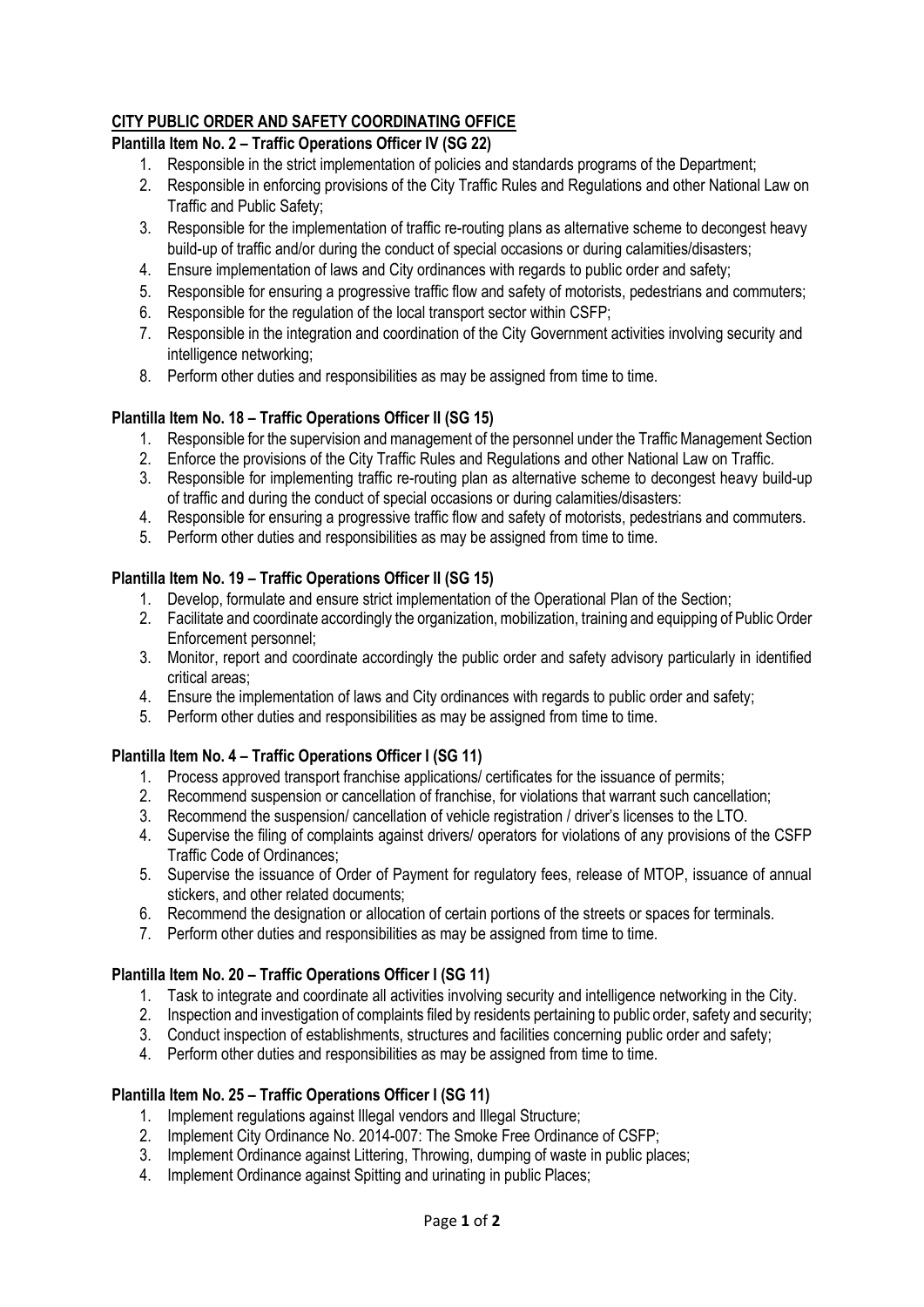# **CITY PUBLIC ORDER AND SAFETY COORDINATING OFFICE**

## **Plantilla Item No. 2 – Traffic Operations Officer IV (SG 22)**

- 1. Responsible in the strict implementation of policies and standards programs of the Department;
- 2. Responsible in enforcing provisions of the City Traffic Rules and Regulations and other National Law on Traffic and Public Safety;
- 3. Responsible for the implementation of traffic re-routing plans as alternative scheme to decongest heavy build-up of traffic and/or during the conduct of special occasions or during calamities/disasters;
- 4. Ensure implementation of laws and City ordinances with regards to public order and safety;
- 5. Responsible for ensuring a progressive traffic flow and safety of motorists, pedestrians and commuters;
- 6. Responsible for the regulation of the local transport sector within CSFP;
- 7. Responsible in the integration and coordination of the City Government activities involving security and intelligence networking;
- 8. Perform other duties and responsibilities as may be assigned from time to time.

### **Plantilla Item No. 18 – Traffic Operations Officer II (SG 15)**

- 1. Responsible for the supervision and management of the personnel under the Traffic Management Section
- 2. Enforce the provisions of the City Traffic Rules and Regulations and other National Law on Traffic.
- 3. Responsible for implementing traffic re-routing plan as alternative scheme to decongest heavy build-up of traffic and during the conduct of special occasions or during calamities/disasters:
- 4. Responsible for ensuring a progressive traffic flow and safety of motorists, pedestrians and commuters.
- 5. Perform other duties and responsibilities as may be assigned from time to time.

### **Plantilla Item No. 19 – Traffic Operations Officer II (SG 15)**

- 1. Develop, formulate and ensure strict implementation of the Operational Plan of the Section;
- 2. Facilitate and coordinate accordingly the organization, mobilization, training and equipping of Public Order Enforcement personnel;
- 3. Monitor, report and coordinate accordingly the public order and safety advisory particularly in identified critical areas;
- 4. Ensure the implementation of laws and City ordinances with regards to public order and safety;
- 5. Perform other duties and responsibilities as may be assigned from time to time.

## **Plantilla Item No. 4 – Traffic Operations Officer I (SG 11)**

- 1. Process approved transport franchise applications/ certificates for the issuance of permits;
- 2. Recommend suspension or cancellation of franchise, for violations that warrant such cancellation;
- 3. Recommend the suspension/ cancellation of vehicle registration / driver's licenses to the LTO.
- 4. Supervise the filing of complaints against drivers/ operators for violations of any provisions of the CSFP Traffic Code of Ordinances;
- 5. Supervise the issuance of Order of Payment for regulatory fees, release of MTOP, issuance of annual stickers, and other related documents;
- 6. Recommend the designation or allocation of certain portions of the streets or spaces for terminals.
- 7. Perform other duties and responsibilities as may be assigned from time to time.

#### **Plantilla Item No. 20 – Traffic Operations Officer I (SG 11)**

- 1. Task to integrate and coordinate all activities involving security and intelligence networking in the City.
- 2. Inspection and investigation of complaints filed by residents pertaining to public order, safety and security;
- 3. Conduct inspection of establishments, structures and facilities concerning public order and safety;
- 4. Perform other duties and responsibilities as may be assigned from time to time.

#### **Plantilla Item No. 25 – Traffic Operations Officer I (SG 11)**

- 1. Implement regulations against Illegal vendors and Illegal Structure;
- 2. Implement City Ordinance No. 2014-007: The Smoke Free Ordinance of CSFP;
- 3. Implement Ordinance against Littering, Throwing, dumping of waste in public places;
- 4. Implement Ordinance against Spitting and urinating in public Places;